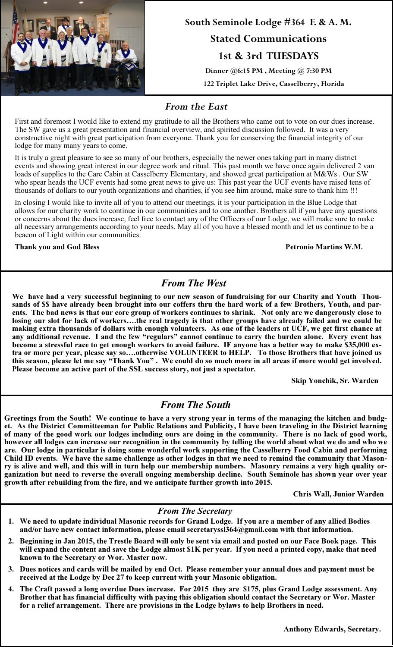

South Seminole Lodge #364 F. & A. M. Stated Communications 1st & 3rd TUESDAYS Dinner @6:15 PM , Meeting @ 7:30 PM

122 Triplet Lake Drive, Casselberry, Florida

## From the East

First and foremost I would like to extend my gratitude to all the Brothers who came out to vote on our dues increase. The SW gave us a great presentation and financial overview, and spirited discussion followed. It was a very constructive night with great participation from everyone. Thank you for conserving the financial integrity of our lodge for many many years to come.

It is truly a great pleasure to see so many of our brothers, especially the newer ones taking part in many district events and showing great interest in our degree work and ritual. This past month we have once again delivered 2 van loads of supplies to the Care Cabin at Casselberry Elementary, and showed great participation at M&Ws . Our SW who spear heads the UCF events had some great news to give us: This past year the UCF events have raised tens of thousands of dollars to our youth organizations and charities, if you see him around, make sure to thank him !!!

In closing I would like to invite all of you to attend our meetings, it is your participation in the Blue Lodge that allows for our charity work to continue in our communities and to one another. Brothers all if you have any questions or concerns about the dues increase, feel free to contact any of the Officers of our Lodge, we will make sure to make all necessary arrangements according to your needs. May all of you have a blessed month and let us continue to be a beacon of Light within our communities.

Thank you and God Bless Petronio Martins W.M.

# From The West

We have had a very successful beginning to our new season of fundraising for our Charity and Youth Thousands of \$\$ have already been brought into our coffers thru the hard work of a few Brothers, Youth, and parents. The bad news is that our core group of workers continues to shrink. Not only are we dangerously close to losing our slot for lack of workers….the real tragedy is that other groups have already failed and we could be making extra thousands of dollars with enough volunteers. As one of the leaders at UCF, we get first chance at any additional revenue. I and the few "regulars" cannot continue to carry the burden alone. Every event has become a stressful race to get enough workers to avoid failure. IF anyone has a better way to make \$35,000 extra or more per year, please say so….otherwise VOLUNTEER to HELP. To those Brothers that have joined us this season, please let me say "Thank You" . We could do so much more in all areas if more would get involved. Please become an active part of the SSL success story, not just a spectator.

Skip Yonchik, Sr. Warden

# From The South

Greetings from the South! We continue to have a very strong year in terms of the managing the kitchen and budget. As the District Committeeman for Public Relations and Publicity, I have been traveling in the District learning of many of the good work our lodges including ours are doing in the community. There is no lack of good work, however all lodges can increase our recognition in the community by telling the world about what we do and who we are. Our lodge in particular is doing some wonderful work supporting the Casselberry Food Cabin and performing Child ID events. We have the same challenge as other lodges in that we need to remind the community that Masonry is alive and well, and this will in turn help our membership numbers. Masonry remains a very high quality organization but need to reverse the overall ongoing membership decline. South Seminole has shown year over year growth after rebuilding from the fire, and we anticipate further growth into 2015.

Chris Wall, Junior Warden

#### From The Secretary

- 1. We need to update individual Masonic records for Grand Lodge. If you are a member of any allied Bodies and/or have new contact information, please email secretaryssl364@gmail.com with that information.
- 2. Beginning in Jan 2015, the Trestle Board will only be sent via email and posted on our Face Book page. This will expand the content and save the Lodge almost \$1K per year. If you need a printed copy, make that need known to the Secretary or Wor. Master now.
- 3. Dues notices and cards will be mailed by end Oct. Please remember your annual dues and payment must be received at the Lodge by Dec 27 to keep current with your Masonic obligation.
- 4. The Craft passed a long overdue Dues increase. For 2015 they are \$175, plus Grand Lodge assessment. Any Brother that has financial difficulty with paying this obligation should contact the Secretary or Wor. Master for a relief arrangement. There are provisions in the Lodge bylaws to help Brothers in need.